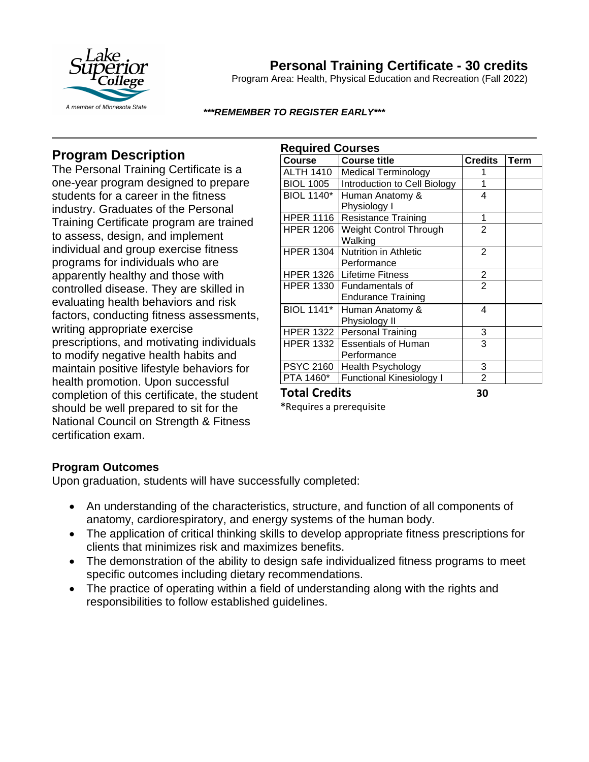

# **Personal Training Certificate - 30 credits**

Program Area: Health, Physical Education and Recreation (Fall 2022)

### *\*\*\*REMEMBER TO REGISTER EARLY\*\*\**

### **Program Description**

The Personal Training Certificate is a one-year program designed to prepare students for a career in the fitness industry. Graduates of the Personal Training Certificate program are trained to assess, design, and implement individual and group exercise fitness programs for individuals who are apparently healthy and those with controlled disease. They are skilled in evaluating health behaviors and risk factors, conducting fitness assessments, writing appropriate exercise prescriptions, and motivating individuals to modify negative health habits and maintain positive lifestyle behaviors for health promotion. Upon successful completion of this certificate, the student should be well prepared to sit for the National Council on Strength & Fitness certification exam.

| <b>Required Courses</b> |                                 |                |             |
|-------------------------|---------------------------------|----------------|-------------|
| <b>Course</b>           | <b>Course title</b>             | <b>Credits</b> | <b>Term</b> |
| <b>ALTH 1410</b>        | <b>Medical Terminology</b>      |                |             |
| <b>BIOL 1005</b>        | Introduction to Cell Biology    | 1              |             |
| <b>BIOL 1140*</b>       | Human Anatomy &                 | 4              |             |
|                         | Physiology I                    |                |             |
| <b>HPER 1116</b>        | <b>Resistance Training</b>      | 1              |             |
| <b>HPER 1206</b>        | Weight Control Through          | 2              |             |
|                         | Walking                         |                |             |
| <b>HPER 1304</b>        | Nutrition in Athletic           | 2              |             |
|                         | Performance                     |                |             |
|                         | HPER 1326   Lifetime Fitness    | $\frac{2}{2}$  |             |
| <b>HPER 1330</b>        | Fundamentals of                 |                |             |
|                         | <b>Endurance Training</b>       |                |             |
| <b>BIOL 1141*</b>       | Human Anatomy &                 | 4              |             |
|                         | Physiology II                   |                |             |
| HPER 1322               | <b>Personal Training</b>        | 3              |             |
|                         | HPER 1332 Essentials of Human   | 3              |             |
|                         | Performance                     |                |             |
| <b>PSYC 2160</b>        | Health Psychology               | 3              |             |
| PTA 1460*               | <b>Functional Kinesiology I</b> | $\overline{2}$ |             |
| Tatal Cuadita           |                                 | ָ              |             |

**Total Credits 30** 

**\***Requires a prerequisite

### **Program Outcomes**

Upon graduation, students will have successfully completed:

- An understanding of the characteristics, structure, and function of all components of anatomy, cardiorespiratory, and energy systems of the human body.
- The application of critical thinking skills to develop appropriate fitness prescriptions for clients that minimizes risk and maximizes benefits.
- The demonstration of the ability to design safe individualized fitness programs to meet specific outcomes including dietary recommendations.
- The practice of operating within a field of understanding along with the rights and responsibilities to follow established guidelines.